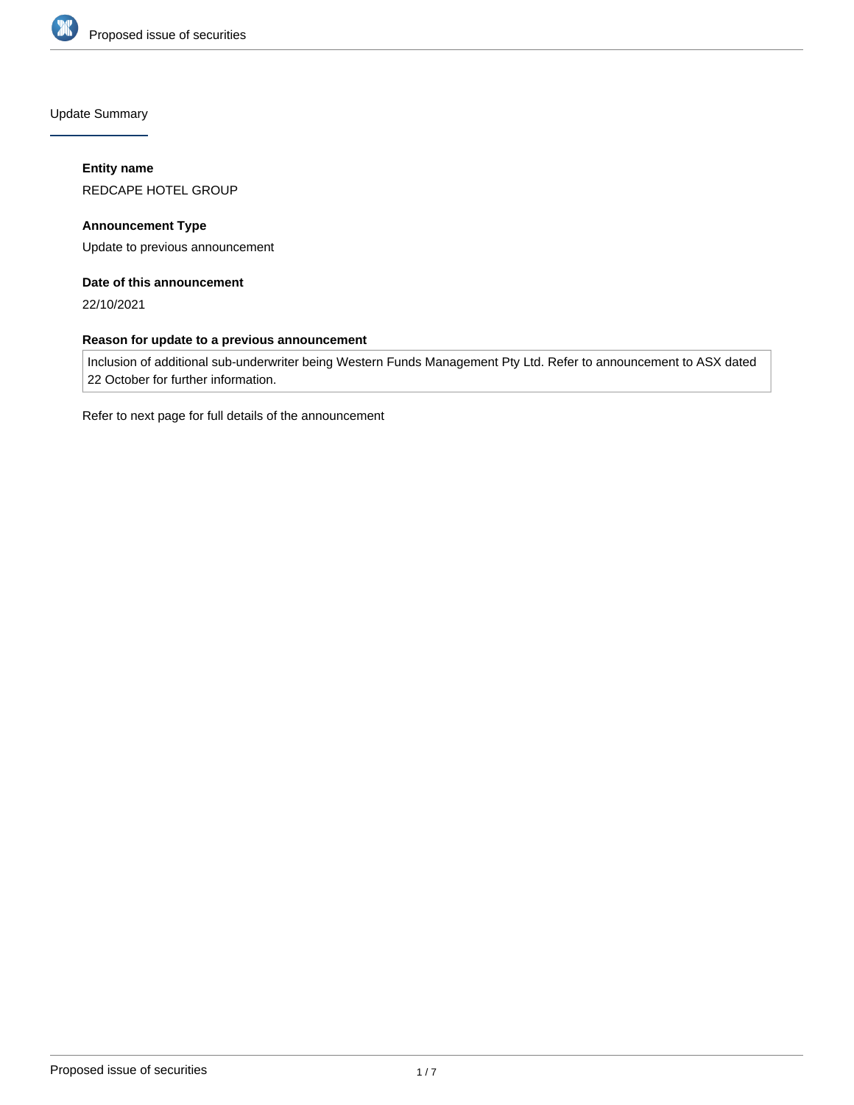

Update Summary

### **Entity name**

REDCAPE HOTEL GROUP

**Announcement Type** Update to previous announcement

## **Date of this announcement**

22/10/2021

## **Reason for update to a previous announcement**

Inclusion of additional sub-underwriter being Western Funds Management Pty Ltd. Refer to announcement to ASX dated 22 October for further information.

Refer to next page for full details of the announcement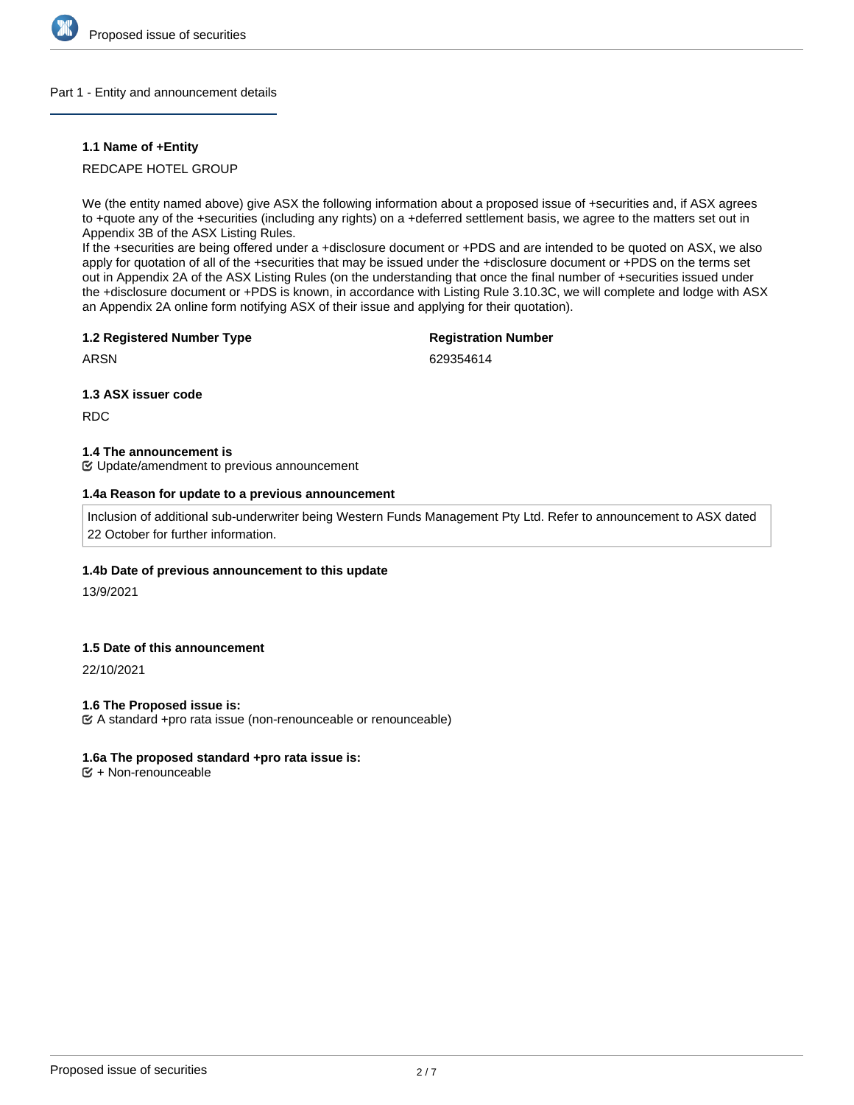

### Part 1 - Entity and announcement details

### **1.1 Name of +Entity**

### REDCAPE HOTEL GROUP

We (the entity named above) give ASX the following information about a proposed issue of +securities and, if ASX agrees to +quote any of the +securities (including any rights) on a +deferred settlement basis, we agree to the matters set out in Appendix 3B of the ASX Listing Rules.

If the +securities are being offered under a +disclosure document or +PDS and are intended to be quoted on ASX, we also apply for quotation of all of the +securities that may be issued under the +disclosure document or +PDS on the terms set out in Appendix 2A of the ASX Listing Rules (on the understanding that once the final number of +securities issued under the +disclosure document or +PDS is known, in accordance with Listing Rule 3.10.3C, we will complete and lodge with ASX an Appendix 2A online form notifying ASX of their issue and applying for their quotation).

### **1.2 Registered Number Type**

# **Registration Number**

ARSN

629354614

### **1.3 ASX issuer code**

RDC

### **1.4 The announcement is**

Update/amendment to previous announcement

### **1.4a Reason for update to a previous announcement**

Inclusion of additional sub-underwriter being Western Funds Management Pty Ltd. Refer to announcement to ASX dated 22 October for further information.

### **1.4b Date of previous announcement to this update**

13/9/2021

## **1.5 Date of this announcement**

22/10/2021

### **1.6 The Proposed issue is:**

A standard +pro rata issue (non-renounceable or renounceable)

### **1.6a The proposed standard +pro rata issue is:**

+ Non-renounceable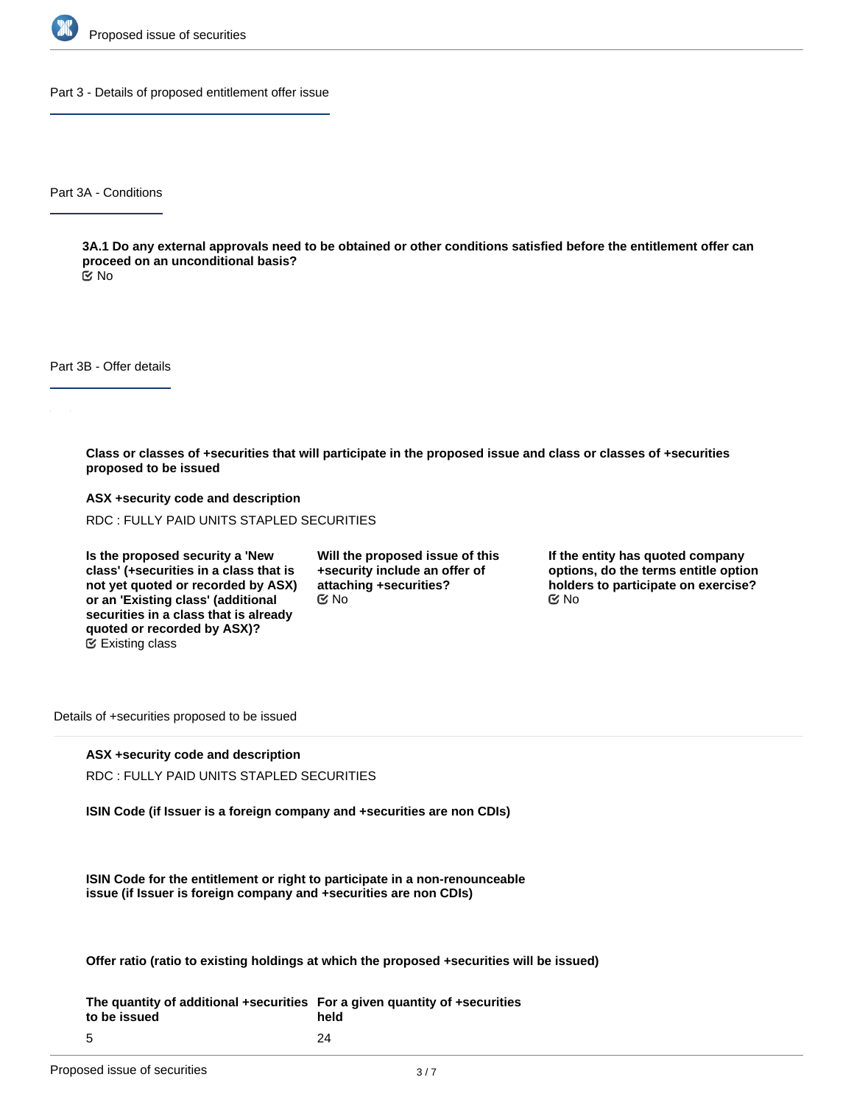

Part 3 - Details of proposed entitlement offer issue

Part 3A - Conditions

**3A.1 Do any external approvals need to be obtained or other conditions satisfied before the entitlement offer can proceed on an unconditional basis?**

No

Part 3B - Offer details

**Class or classes of +securities that will participate in the proposed issue and class or classes of +securities proposed to be issued**

**ASX +security code and description** RDC : FULLY PAID UNITS STAPLED SECURITIES

**Is the proposed security a 'New class' (+securities in a class that is not yet quoted or recorded by ASX) or an 'Existing class' (additional securities in a class that is already quoted or recorded by ASX)?** Existing class

**Will the proposed issue of this +security include an offer of attaching +securities?**  $\mathfrak{S}$  No  $\mathfrak{S}$  No  $\mathfrak{S}$  No

**If the entity has quoted company options, do the terms entitle option holders to participate on exercise?**

Details of +securities proposed to be issued

**ASX +security code and description**

RDC : FULLY PAID UNITS STAPLED SECURITIES

**ISIN Code (if Issuer is a foreign company and +securities are non CDIs)**

**ISIN Code for the entitlement or right to participate in a non-renounceable issue (if Issuer is foreign company and +securities are non CDIs)**

**Offer ratio (ratio to existing holdings at which the proposed +securities will be issued)**

**The quantity of additional +securities For a given quantity of +securities to be issued** 5 **held** 24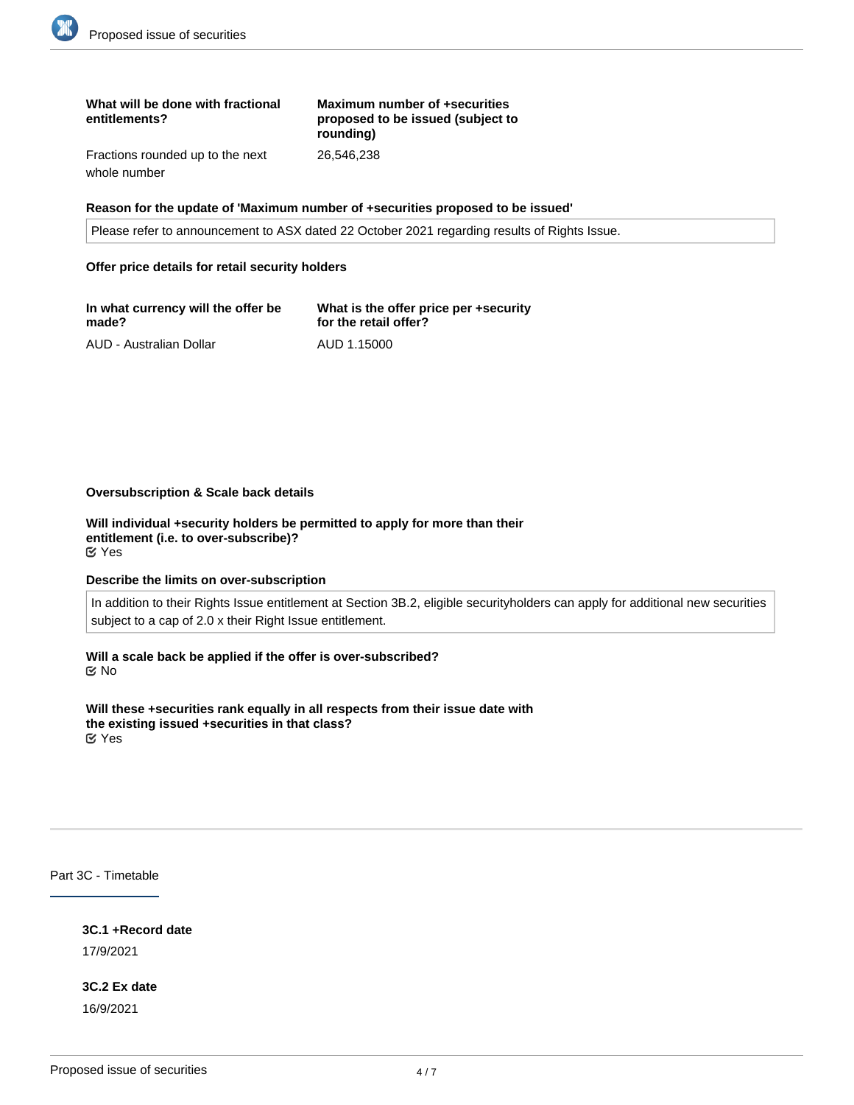| What will be done with fractional<br>entitlements? | Maximum number of +securities<br>proposed to be issued (subject to<br>roundina) |
|----------------------------------------------------|---------------------------------------------------------------------------------|
| Fractions rounded up to the next                   | 26.546.238                                                                      |

whole number

### **Reason for the update of 'Maximum number of +securities proposed to be issued'**

Please refer to announcement to ASX dated 22 October 2021 regarding results of Rights Issue.

#### **Offer price details for retail security holders**

| In what currency will the offer be | What is the offer price per +security |
|------------------------------------|---------------------------------------|
| made?                              | for the retail offer?                 |
| AUD - Australian Dollar            | AUD 1.15000                           |

#### **Oversubscription & Scale back details**

**Will individual +security holders be permitted to apply for more than their entitlement (i.e. to over-subscribe)?** Yes

#### **Describe the limits on over-subscription**

In addition to their Rights Issue entitlement at Section 3B.2, eligible securityholders can apply for additional new securities subject to a cap of 2.0 x their Right Issue entitlement.

**Will a scale back be applied if the offer is over-subscribed?** No

**Will these +securities rank equally in all respects from their issue date with the existing issued +securities in that class?** Yes

Part 3C - Timetable

**3C.1 +Record date**

17/9/2021

**3C.2 Ex date** 16/9/2021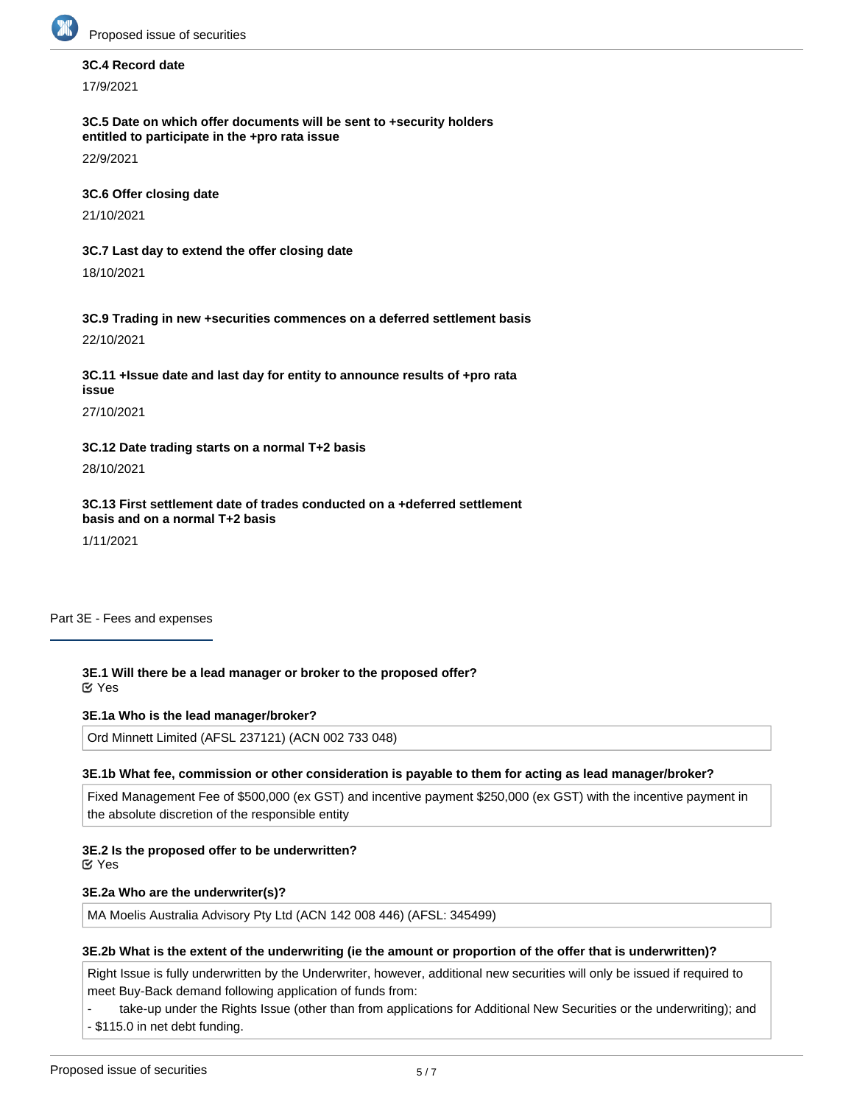

### **3C.4 Record date**

17/9/2021

**3C.5 Date on which offer documents will be sent to +security holders entitled to participate in the +pro rata issue**

22/9/2021

## **3C.6 Offer closing date**

21/10/2021

# **3C.7 Last day to extend the offer closing date**

18/10/2021

**3C.9 Trading in new +securities commences on a deferred settlement basis** 22/10/2021

**3C.11 +Issue date and last day for entity to announce results of +pro rata issue**

27/10/2021

**3C.12 Date trading starts on a normal T+2 basis**

28/10/2021

**3C.13 First settlement date of trades conducted on a +deferred settlement basis and on a normal T+2 basis**

1/11/2021

Part 3E - Fees and expenses

**3E.1 Will there be a lead manager or broker to the proposed offer?** Yes

**3E.1a Who is the lead manager/broker?**

Ord Minnett Limited (AFSL 237121) (ACN 002 733 048)

### **3E.1b What fee, commission or other consideration is payable to them for acting as lead manager/broker?**

Fixed Management Fee of \$500,000 (ex GST) and incentive payment \$250,000 (ex GST) with the incentive payment in the absolute discretion of the responsible entity

### **3E.2 Is the proposed offer to be underwritten?**

Yes

### **3E.2a Who are the underwriter(s)?**

MA Moelis Australia Advisory Pty Ltd (ACN 142 008 446) (AFSL: 345499)

### **3E.2b What is the extent of the underwriting (ie the amount or proportion of the offer that is underwritten)?**

Right Issue is fully underwritten by the Underwriter, however, additional new securities will only be issued if required to meet Buy-Back demand following application of funds from:

take-up under the Rights Issue (other than from applications for Additional New Securities or the underwriting); and - \$115.0 in net debt funding.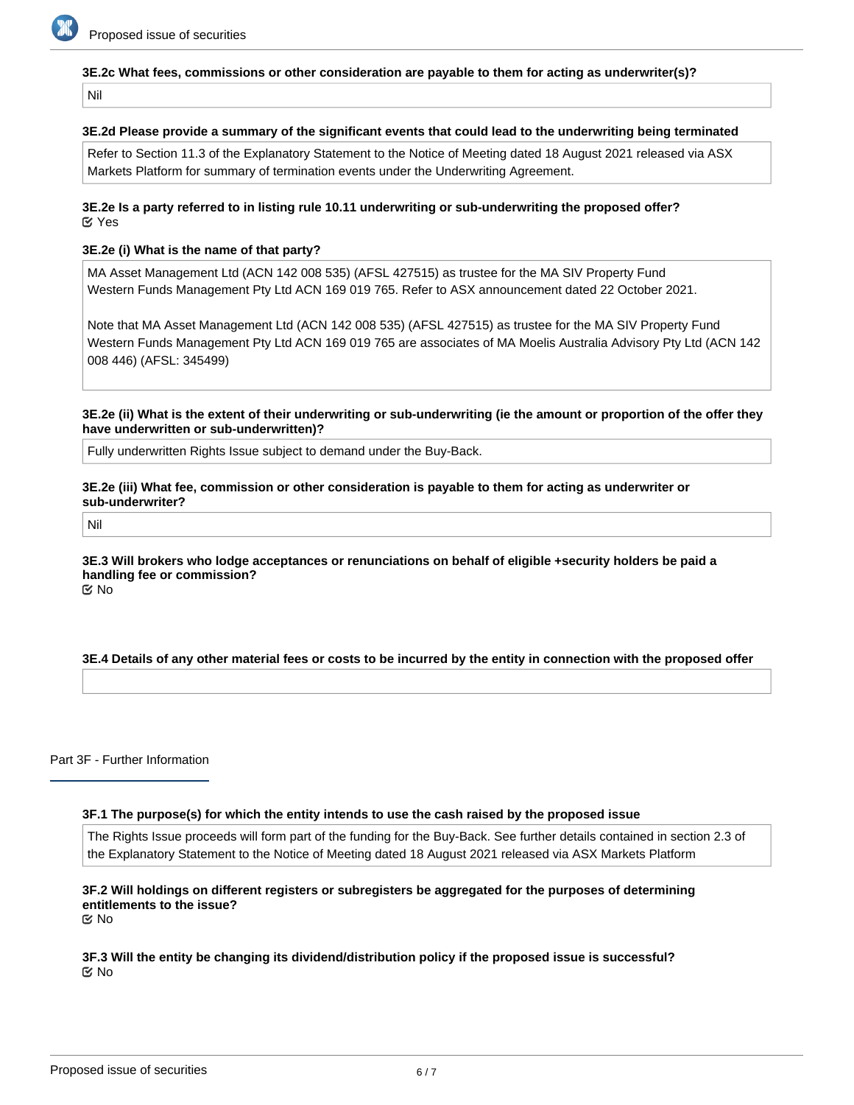

### **3E.2c What fees, commissions or other consideration are payable to them for acting as underwriter(s)?**

Nil

#### **3E.2d Please provide a summary of the significant events that could lead to the underwriting being terminated**

Refer to Section 11.3 of the Explanatory Statement to the Notice of Meeting dated 18 August 2021 released via ASX Markets Platform for summary of termination events under the Underwriting Agreement.

#### **3E.2e Is a party referred to in listing rule 10.11 underwriting or sub-underwriting the proposed offer?** Yes

#### **3E.2e (i) What is the name of that party?**

MA Asset Management Ltd (ACN 142 008 535) (AFSL 427515) as trustee for the MA SIV Property Fund Western Funds Management Pty Ltd ACN 169 019 765. Refer to ASX announcement dated 22 October 2021.

Note that MA Asset Management Ltd (ACN 142 008 535) (AFSL 427515) as trustee for the MA SIV Property Fund Western Funds Management Pty Ltd ACN 169 019 765 are associates of MA Moelis Australia Advisory Pty Ltd (ACN 142 008 446) (AFSL: 345499)

**3E.2e (ii) What is the extent of their underwriting or sub-underwriting (ie the amount or proportion of the offer they have underwritten or sub-underwritten)?**

Fully underwritten Rights Issue subject to demand under the Buy-Back.

**3E.2e (iii) What fee, commission or other consideration is payable to them for acting as underwriter or sub-underwriter?**

Nil

**3E.3 Will brokers who lodge acceptances or renunciations on behalf of eligible +security holders be paid a handling fee or commission?** No

### **3E.4 Details of any other material fees or costs to be incurred by the entity in connection with the proposed offer**

Part 3F - Further Information

#### **3F.1 The purpose(s) for which the entity intends to use the cash raised by the proposed issue**

The Rights Issue proceeds will form part of the funding for the Buy-Back. See further details contained in section 2.3 of the Explanatory Statement to the Notice of Meeting dated 18 August 2021 released via ASX Markets Platform

## **3F.2 Will holdings on different registers or subregisters be aggregated for the purposes of determining entitlements to the issue?**

No

### **3F.3 Will the entity be changing its dividend/distribution policy if the proposed issue is successful?** No